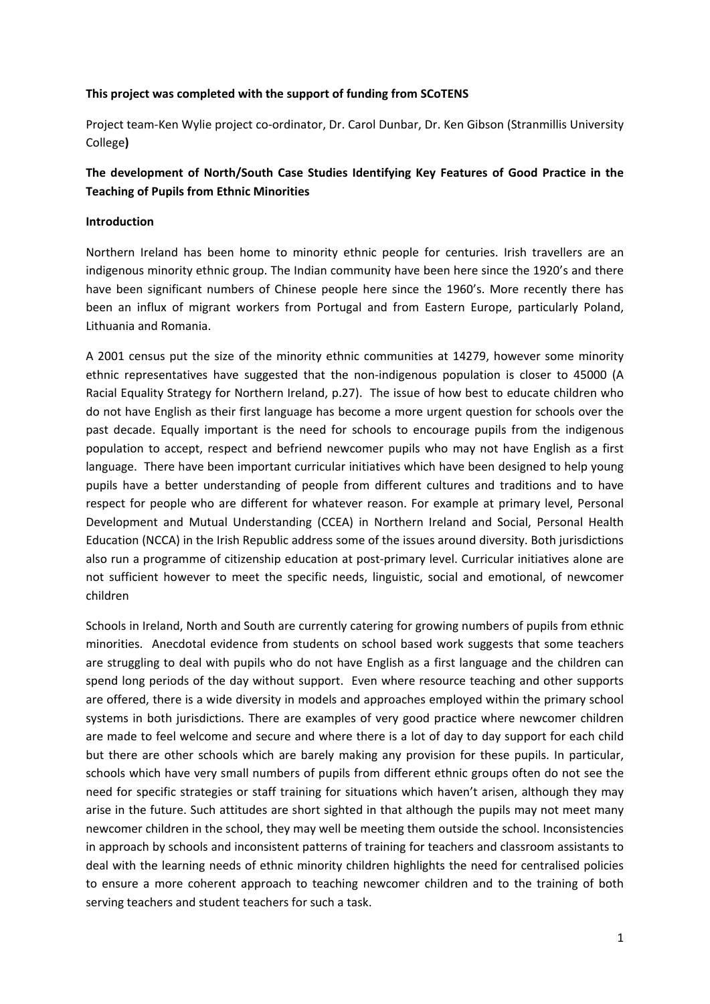### **This project was completed with the support of funding from SCoTENS**

Project team‐Ken Wylie project co‐ordinator, Dr. Carol Dunbar, Dr. Ken Gibson (Stranmillis University College**)**

# **The development of North/South Case Studies Identifying Key Features of Good Practice in the Teaching of Pupils from Ethnic Minorities**

# **Introduction**

Northern Ireland has been home to minority ethnic people for centuries. Irish travellers are an indigenous minority ethnic group. The Indian community have been here since the 1920's and there have been significant numbers of Chinese people here since the 1960's. More recently there has been an influx of migrant workers from Portugal and from Eastern Europe, particularly Poland, Lithuania and Romania.

A 2001 census put the size of the minority ethnic communities at 14279, however some minority ethnic representatives have suggested that the non-indigenous population is closer to 45000 (A Racial Equality Strategy for Northern Ireland, p.27). The issue of how best to educate children who do not have English as their first language has become a more urgent question for schools over the past decade. Equally important is the need for schools to encourage pupils from the indigenous population to accept, respect and befriend newcomer pupils who may not have English as a first language. There have been important curricular initiatives which have been designed to help young pupils have a better understanding of people from different cultures and traditions and to have respect for people who are different for whatever reason. For example at primary level, Personal Development and Mutual Understanding (CCEA) in Northern Ireland and Social, Personal Health Education (NCCA) in the Irish Republic address some of the issues around diversity. Both jurisdictions also run a programme of citizenship education at post‐primary level. Curricular initiatives alone are not sufficient however to meet the specific needs, linguistic, social and emotional, of newcomer children

Schools in Ireland, North and South are currently catering for growing numbers of pupils from ethnic minorities. Anecdotal evidence from students on school based work suggests that some teachers are struggling to deal with pupils who do not have English as a first language and the children can spend long periods of the day without support. Even where resource teaching and other supports are offered, there is a wide diversity in models and approaches employed within the primary school systems in both jurisdictions. There are examples of very good practice where newcomer children are made to feel welcome and secure and where there is a lot of day to day support for each child but there are other schools which are barely making any provision for these pupils. In particular, schools which have very small numbers of pupils from different ethnic groups often do not see the need for specific strategies or staff training for situations which haven't arisen, although they may arise in the future. Such attitudes are short sighted in that although the pupils may not meet many newcomer children in the school, they may well be meeting them outside the school. Inconsistencies in approach by schools and inconsistent patterns of training for teachers and classroom assistants to deal with the learning needs of ethnic minority children highlights the need for centralised policies to ensure a more coherent approach to teaching newcomer children and to the training of both serving teachers and student teachers for such a task.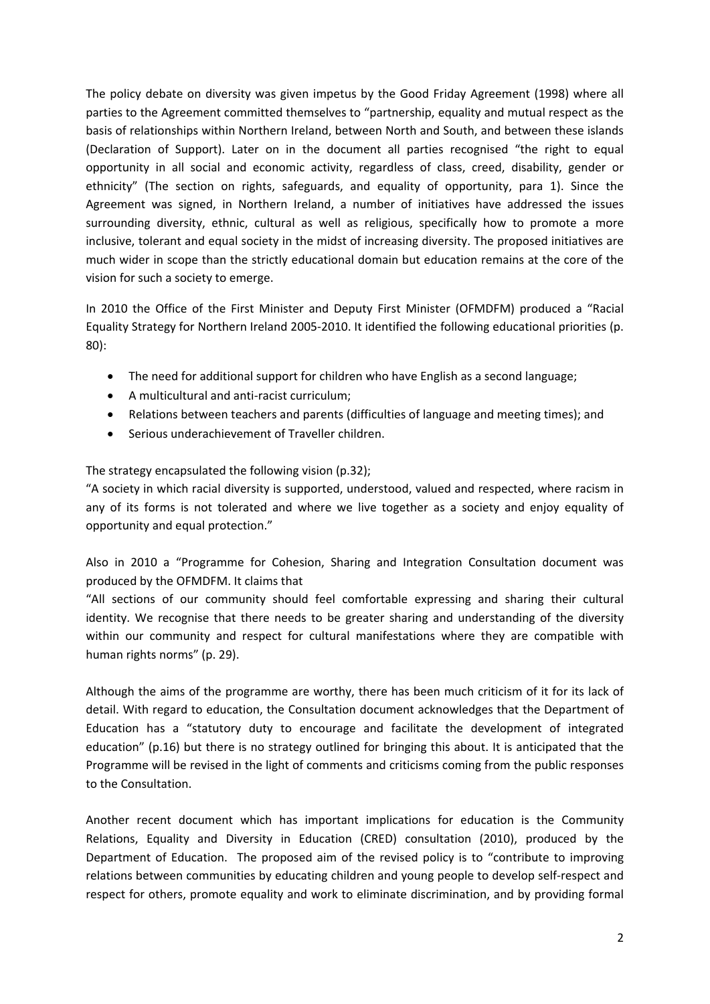The policy debate on diversity was given impetus by the Good Friday Agreement (1998) where all parties to the Agreement committed themselves to "partnership, equality and mutual respect as the basis of relationships within Northern Ireland, between North and South, and between these islands (Declaration of Support). Later on in the document all parties recognised "the right to equal opportunity in all social and economic activity, regardless of class, creed, disability, gender or ethnicity" (The section on rights, safeguards, and equality of opportunity, para 1). Since the Agreement was signed, in Northern Ireland, a number of initiatives have addressed the issues surrounding diversity, ethnic, cultural as well as religious, specifically how to promote a more inclusive, tolerant and equal society in the midst of increasing diversity. The proposed initiatives are much wider in scope than the strictly educational domain but education remains at the core of the vision for such a society to emerge.

In 2010 the Office of the First Minister and Deputy First Minister (OFMDFM) produced a "Racial Equality Strategy for Northern Ireland 2005‐2010. It identified the following educational priorities (p. 80):

- The need for additional support for children who have English as a second language;
- A multicultural and anti‐racist curriculum;
- Relations between teachers and parents (difficulties of language and meeting times); and
- Serious underachievement of Traveller children.

### The strategy encapsulated the following vision (p.32);

"A society in which racial diversity is supported, understood, valued and respected, where racism in any of its forms is not tolerated and where we live together as a society and enjoy equality of opportunity and equal protection."

Also in 2010 a "Programme for Cohesion, Sharing and Integration Consultation document was produced by the OFMDFM. It claims that

"All sections of our community should feel comfortable expressing and sharing their cultural identity. We recognise that there needs to be greater sharing and understanding of the diversity within our community and respect for cultural manifestations where they are compatible with human rights norms" (p. 29).

Although the aims of the programme are worthy, there has been much criticism of it for its lack of detail. With regard to education, the Consultation document acknowledges that the Department of Education has a "statutory duty to encourage and facilitate the development of integrated education" (p.16) but there is no strategy outlined for bringing this about. It is anticipated that the Programme will be revised in the light of comments and criticisms coming from the public responses to the Consultation.

Another recent document which has important implications for education is the Community Relations, Equality and Diversity in Education (CRED) consultation (2010), produced by the Department of Education. The proposed aim of the revised policy is to "contribute to improving relations between communities by educating children and young people to develop self‐respect and respect for others, promote equality and work to eliminate discrimination, and by providing formal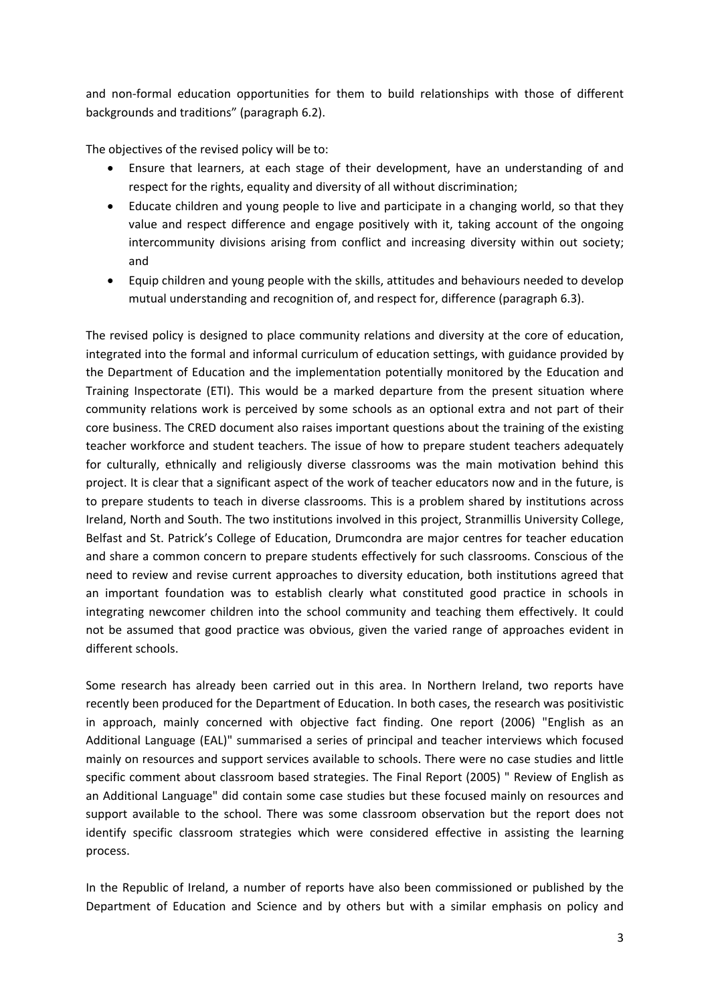and non-formal education opportunities for them to build relationships with those of different backgrounds and traditions" (paragraph 6.2).

The objectives of the revised policy will be to:

- Ensure that learners, at each stage of their development, have an understanding of and respect for the rights, equality and diversity of all without discrimination;
- Educate children and young people to live and participate in a changing world, so that they value and respect difference and engage positively with it, taking account of the ongoing intercommunity divisions arising from conflict and increasing diversity within out society; and
- Equip children and young people with the skills, attitudes and behaviours needed to develop mutual understanding and recognition of, and respect for, difference (paragraph 6.3).

The revised policy is designed to place community relations and diversity at the core of education, integrated into the formal and informal curriculum of education settings, with guidance provided by the Department of Education and the implementation potentially monitored by the Education and Training Inspectorate (ETI). This would be a marked departure from the present situation where community relations work is perceived by some schools as an optional extra and not part of their core business. The CRED document also raises important questions about the training of the existing teacher workforce and student teachers. The issue of how to prepare student teachers adequately for culturally, ethnically and religiously diverse classrooms was the main motivation behind this project. It is clear that a significant aspect of the work of teacher educators now and in the future, is to prepare students to teach in diverse classrooms. This is a problem shared by institutions across Ireland, North and South. The two institutions involved in this project, Stranmillis University College, Belfast and St. Patrick's College of Education, Drumcondra are major centres for teacher education and share a common concern to prepare students effectively for such classrooms. Conscious of the need to review and revise current approaches to diversity education, both institutions agreed that an important foundation was to establish clearly what constituted good practice in schools in integrating newcomer children into the school community and teaching them effectively. It could not be assumed that good practice was obvious, given the varied range of approaches evident in different schools.

Some research has already been carried out in this area. In Northern Ireland, two reports have recently been produced for the Department of Education. In both cases, the research was positivistic in approach, mainly concerned with objective fact finding. One report (2006) "English as an Additional Language (EAL)" summarised a series of principal and teacher interviews which focused mainly on resources and support services available to schools. There were no case studies and little specific comment about classroom based strategies. The Final Report (2005) " Review of English as an Additional Language" did contain some case studies but these focused mainly on resources and support available to the school. There was some classroom observation but the report does not identify specific classroom strategies which were considered effective in assisting the learning process.

In the Republic of Ireland, a number of reports have also been commissioned or published by the Department of Education and Science and by others but with a similar emphasis on policy and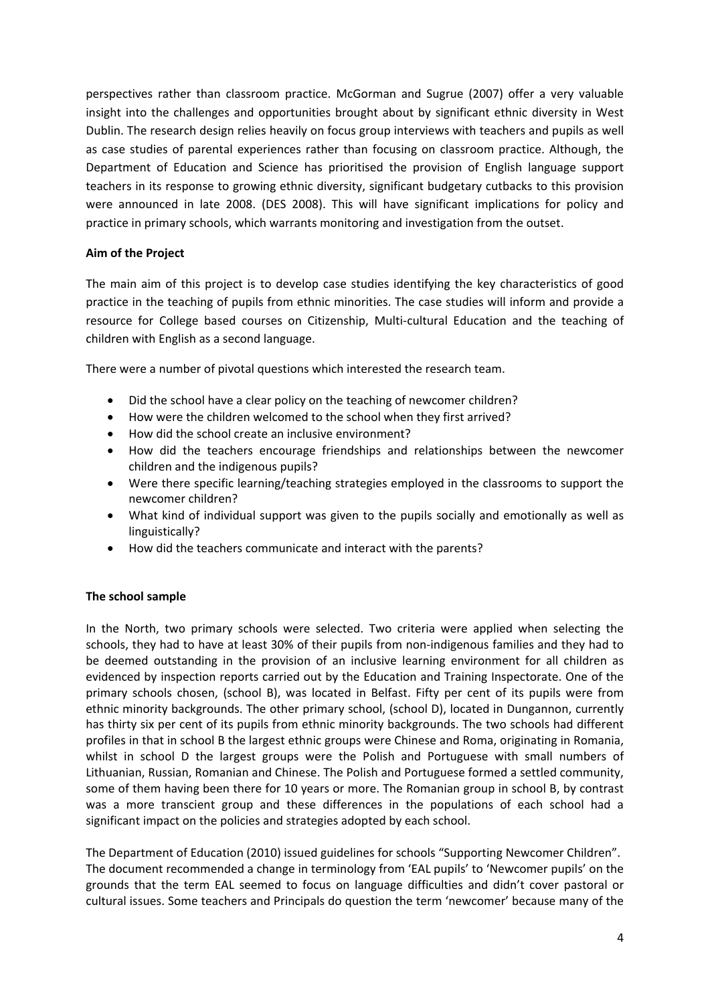perspectives rather than classroom practice. McGorman and Sugrue (2007) offer a very valuable insight into the challenges and opportunities brought about by significant ethnic diversity in West Dublin. The research design relies heavily on focus group interviews with teachers and pupils as well as case studies of parental experiences rather than focusing on classroom practice. Although, the Department of Education and Science has prioritised the provision of English language support teachers in its response to growing ethnic diversity, significant budgetary cutbacks to this provision were announced in late 2008. (DES 2008). This will have significant implications for policy and practice in primary schools, which warrants monitoring and investigation from the outset.

### **Aim of the Project**

The main aim of this project is to develop case studies identifying the key characteristics of good practice in the teaching of pupils from ethnic minorities. The case studies will inform and provide a resource for College based courses on Citizenship, Multi‐cultural Education and the teaching of children with English as a second language.

There were a number of pivotal questions which interested the research team.

- Did the school have a clear policy on the teaching of newcomer children?
- How were the children welcomed to the school when they first arrived?
- How did the school create an inclusive environment?
- How did the teachers encourage friendships and relationships between the newcomer children and the indigenous pupils?
- Were there specific learning/teaching strategies employed in the classrooms to support the newcomer children?
- What kind of individual support was given to the pupils socially and emotionally as well as linguistically?
- How did the teachers communicate and interact with the parents?

# **The school sample**

In the North, two primary schools were selected. Two criteria were applied when selecting the schools, they had to have at least 30% of their pupils from non-indigenous families and they had to be deemed outstanding in the provision of an inclusive learning environment for all children as evidenced by inspection reports carried out by the Education and Training Inspectorate. One of the primary schools chosen, (school B), was located in Belfast. Fifty per cent of its pupils were from ethnic minority backgrounds. The other primary school, (school D), located in Dungannon, currently has thirty six per cent of its pupils from ethnic minority backgrounds. The two schools had different profiles in that in school B the largest ethnic groups were Chinese and Roma, originating in Romania, whilst in school D the largest groups were the Polish and Portuguese with small numbers of Lithuanian, Russian, Romanian and Chinese. The Polish and Portuguese formed a settled community, some of them having been there for 10 years or more. The Romanian group in school B, by contrast was a more transcient group and these differences in the populations of each school had a significant impact on the policies and strategies adopted by each school.

The Department of Education (2010) issued guidelines for schools "Supporting Newcomer Children". The document recommended a change in terminology from 'EAL pupils' to 'Newcomer pupils' on the grounds that the term EAL seemed to focus on language difficulties and didn't cover pastoral or cultural issues. Some teachers and Principals do question the term 'newcomer' because many of the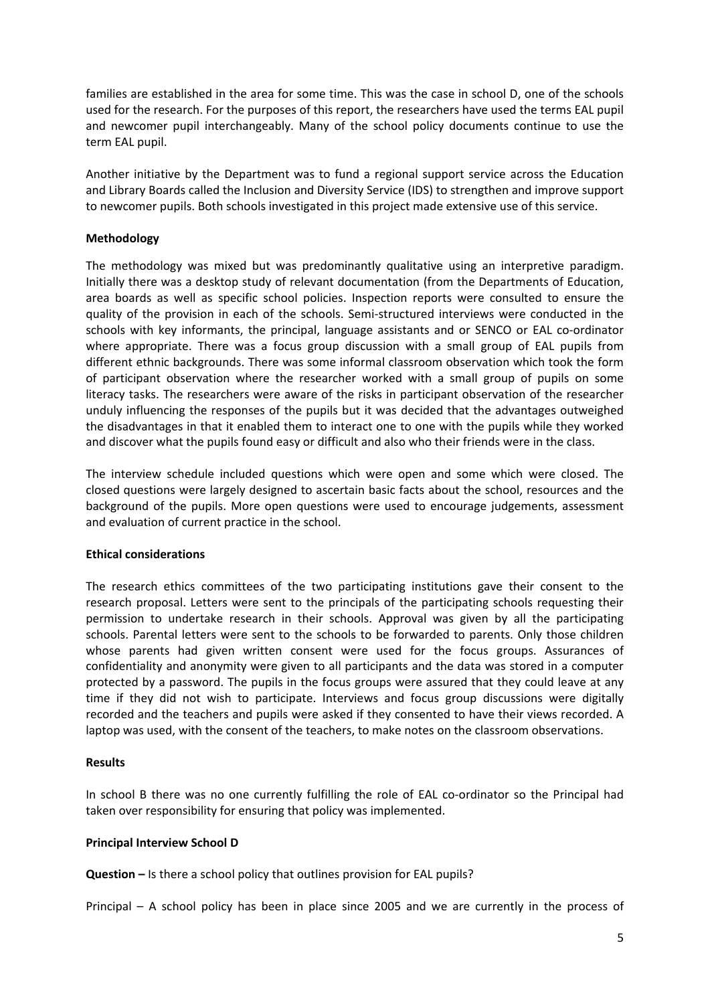families are established in the area for some time. This was the case in school D, one of the schools used for the research. For the purposes of this report, the researchers have used the terms EAL pupil and newcomer pupil interchangeably. Many of the school policy documents continue to use the term EAL pupil.

Another initiative by the Department was to fund a regional support service across the Education and Library Boards called the Inclusion and Diversity Service (IDS) to strengthen and improve support to newcomer pupils. Both schools investigated in this project made extensive use of this service.

### **Methodology**

The methodology was mixed but was predominantly qualitative using an interpretive paradigm. Initially there was a desktop study of relevant documentation (from the Departments of Education, area boards as well as specific school policies. Inspection reports were consulted to ensure the quality of the provision in each of the schools. Semi‐structured interviews were conducted in the schools with key informants, the principal, language assistants and or SENCO or EAL co-ordinator where appropriate. There was a focus group discussion with a small group of EAL pupils from different ethnic backgrounds. There was some informal classroom observation which took the form of participant observation where the researcher worked with a small group of pupils on some literacy tasks. The researchers were aware of the risks in participant observation of the researcher unduly influencing the responses of the pupils but it was decided that the advantages outweighed the disadvantages in that it enabled them to interact one to one with the pupils while they worked and discover what the pupils found easy or difficult and also who their friends were in the class.

The interview schedule included questions which were open and some which were closed. The closed questions were largely designed to ascertain basic facts about the school, resources and the background of the pupils. More open questions were used to encourage judgements, assessment and evaluation of current practice in the school.

### **Ethical considerations**

The research ethics committees of the two participating institutions gave their consent to the research proposal. Letters were sent to the principals of the participating schools requesting their permission to undertake research in their schools. Approval was given by all the participating schools. Parental letters were sent to the schools to be forwarded to parents. Only those children whose parents had given written consent were used for the focus groups. Assurances of confidentiality and anonymity were given to all participants and the data was stored in a computer protected by a password. The pupils in the focus groups were assured that they could leave at any time if they did not wish to participate. Interviews and focus group discussions were digitally recorded and the teachers and pupils were asked if they consented to have their views recorded. A laptop was used, with the consent of the teachers, to make notes on the classroom observations.

### **Results**

In school B there was no one currently fulfilling the role of EAL co-ordinator so the Principal had taken over responsibility for ensuring that policy was implemented.

### **Principal Interview School D**

**Question –** Is there a school policy that outlines provision for EAL pupils?

Principal – A school policy has been in place since 2005 and we are currently in the process of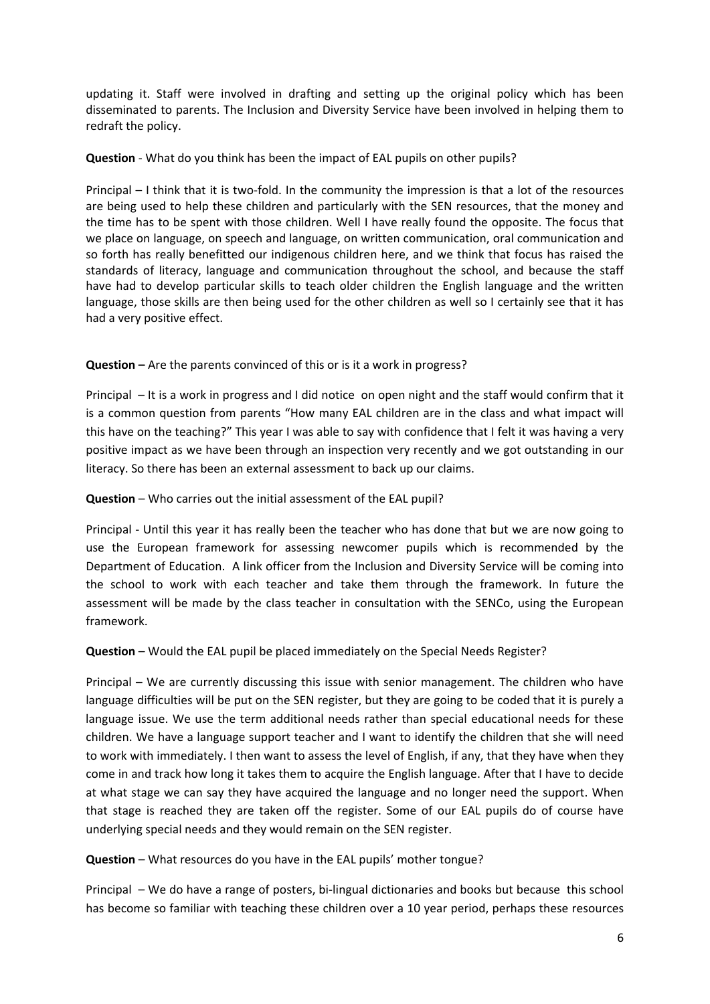updating it. Staff were involved in drafting and setting up the original policy which has been disseminated to parents. The Inclusion and Diversity Service have been involved in helping them to redraft the policy.

# **Question** - What do you think has been the impact of EAL pupils on other pupils?

Principal – I think that it is two‐fold. In the community the impression is that a lot of the resources are being used to help these children and particularly with the SEN resources, that the money and the time has to be spent with those children. Well I have really found the opposite. The focus that we place on language, on speech and language, on written communication, oral communication and so forth has really benefitted our indigenous children here, and we think that focus has raised the standards of literacy, language and communication throughout the school, and because the staff have had to develop particular skills to teach older children the English language and the written language, those skills are then being used for the other children as well so I certainly see that it has had a very positive effect.

# **Question –** Are the parents convinced of this or is it a work in progress?

Principal – It is a work in progress and I did notice on open night and the staff would confirm that it is a common question from parents "How many EAL children are in the class and what impact will this have on the teaching?" This year I was able to say with confidence that I felt it was having a very positive impact as we have been through an inspection very recently and we got outstanding in our literacy. So there has been an external assessment to back up our claims.

### **Question** – Who carries out the initial assessment of the EAL pupil?

Principal ‐ Until this year it has really been the teacher who has done that but we are now going to use the European framework for assessing newcomer pupils which is recommended by the Department of Education. A link officer from the Inclusion and Diversity Service will be coming into the school to work with each teacher and take them through the framework. In future the assessment will be made by the class teacher in consultation with the SENCo, using the European framework.

**Question** – Would the EAL pupil be placed immediately on the Special Needs Register?

Principal – We are currently discussing this issue with senior management. The children who have language difficulties will be put on the SEN register, but they are going to be coded that it is purely a language issue. We use the term additional needs rather than special educational needs for these children. We have a language support teacher and I want to identify the children that she will need to work with immediately. I then want to assess the level of English, if any, that they have when they come in and track how long it takes them to acquire the English language. After that I have to decide at what stage we can say they have acquired the language and no longer need the support. When that stage is reached they are taken off the register. Some of our EAL pupils do of course have underlying special needs and they would remain on the SEN register.

**Question** – What resources do you have in the EAL pupils' mother tongue?

Principal – We do have a range of posters, bi‐lingual dictionaries and books but because this school has become so familiar with teaching these children over a 10 year period, perhaps these resources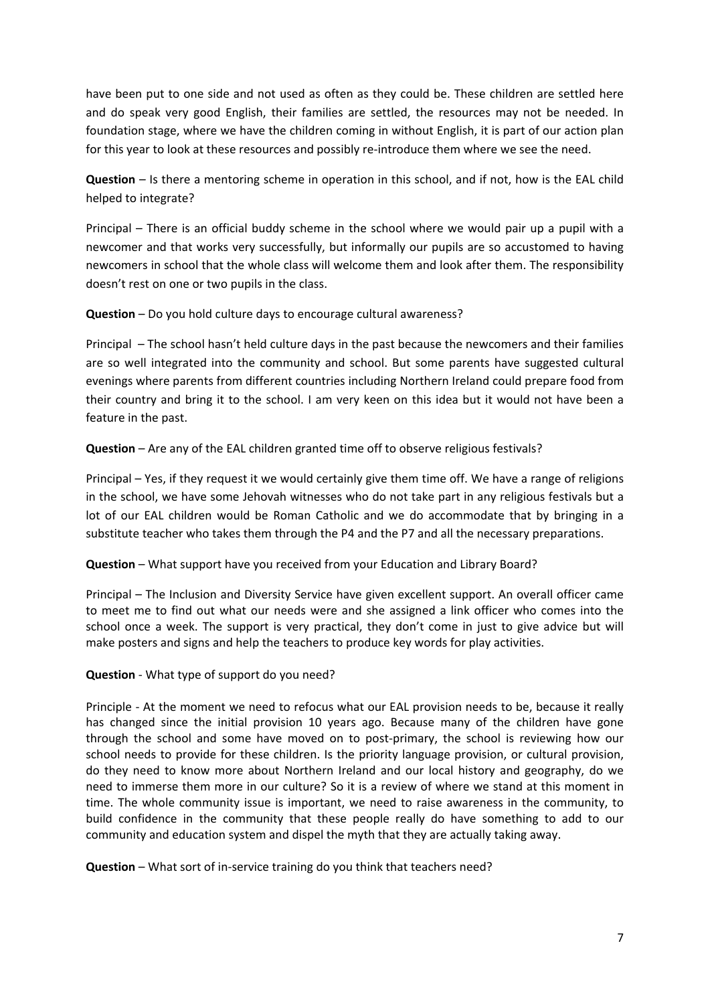have been put to one side and not used as often as they could be. These children are settled here and do speak very good English, their families are settled, the resources may not be needed. In foundation stage, where we have the children coming in without English, it is part of our action plan for this year to look at these resources and possibly re-introduce them where we see the need.

**Question** – Is there a mentoring scheme in operation in this school, and if not, how is the EAL child helped to integrate?

Principal – There is an official buddy scheme in the school where we would pair up a pupil with a newcomer and that works very successfully, but informally our pupils are so accustomed to having newcomers in school that the whole class will welcome them and look after them. The responsibility doesn't rest on one or two pupils in the class.

**Question** – Do you hold culture days to encourage cultural awareness?

Principal – The school hasn't held culture days in the past because the newcomers and their families are so well integrated into the community and school. But some parents have suggested cultural evenings where parents from different countries including Northern Ireland could prepare food from their country and bring it to the school. I am very keen on this idea but it would not have been a feature in the past.

**Question** – Are any of the EAL children granted time off to observe religious festivals?

Principal – Yes, if they request it we would certainly give them time off. We have a range of religions in the school, we have some Jehovah witnesses who do not take part in any religious festivals but a lot of our EAL children would be Roman Catholic and we do accommodate that by bringing in a substitute teacher who takes them through the P4 and the P7 and all the necessary preparations.

**Question** – What support have you received from your Education and Library Board?

Principal – The Inclusion and Diversity Service have given excellent support. An overall officer came to meet me to find out what our needs were and she assigned a link officer who comes into the school once a week. The support is very practical, they don't come in just to give advice but will make posters and signs and help the teachers to produce key words for play activities.

**Question** ‐ What type of support do you need?

Principle ‐ At the moment we need to refocus what our EAL provision needs to be, because it really has changed since the initial provision 10 years ago. Because many of the children have gone through the school and some have moved on to post‐primary, the school is reviewing how our school needs to provide for these children. Is the priority language provision, or cultural provision, do they need to know more about Northern Ireland and our local history and geography, do we need to immerse them more in our culture? So it is a review of where we stand at this moment in time. The whole community issue is important, we need to raise awareness in the community, to build confidence in the community that these people really do have something to add to our community and education system and dispel the myth that they are actually taking away.

**Question** – What sort of in‐service training do you think that teachers need?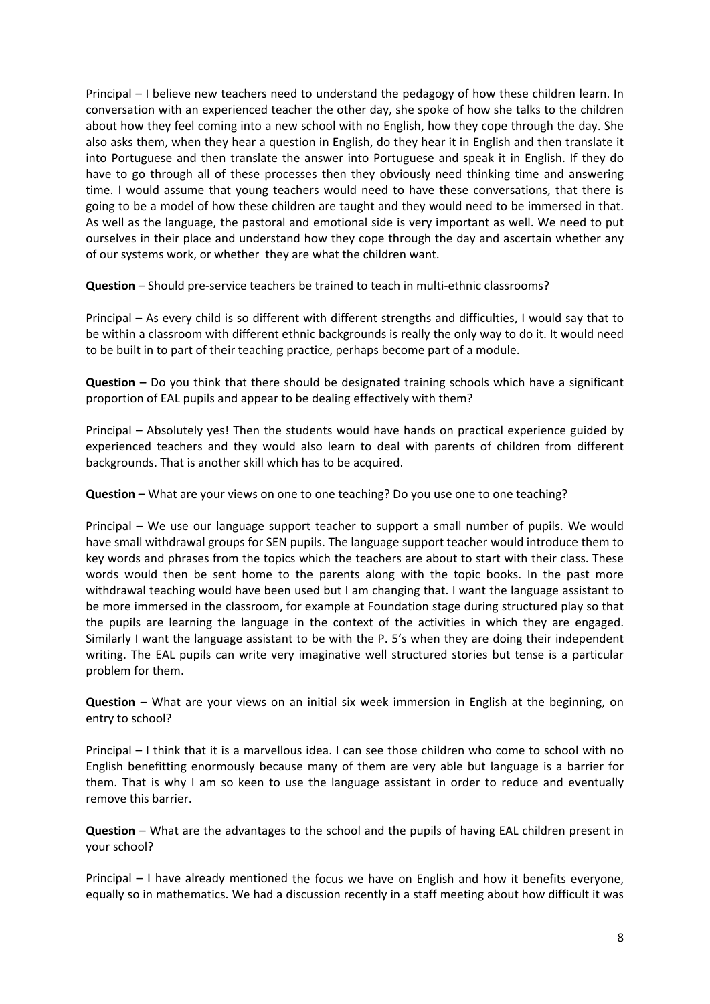Principal – I believe new teachers need to understand the pedagogy of how these children learn. In conversation with an experienced teacher the other day, she spoke of how she talks to the children about how they feel coming into a new school with no English, how they cope through the day. She also asks them, when they hear a question in English, do they hear it in English and then translate it into Portuguese and then translate the answer into Portuguese and speak it in English. If they do have to go through all of these processes then they obviously need thinking time and answering time. I would assume that young teachers would need to have these conversations, that there is going to be a model of how these children are taught and they would need to be immersed in that. As well as the language, the pastoral and emotional side is very important as well. We need to put ourselves in their place and understand how they cope through the day and ascertain whether any of our systems work, or whether they are what the children want.

**Question** – Should pre-service teachers be trained to teach in multi-ethnic classrooms?

Principal – As every child is so different with different strengths and difficulties, I would say that to be within a classroom with different ethnic backgrounds is really the only way to do it. It would need to be built in to part of their teaching practice, perhaps become part of a module.

**Question –** Do you think that there should be designated training schools which have a significant proportion of EAL pupils and appear to be dealing effectively with them?

Principal – Absolutely yes! Then the students would have hands on practical experience guided by experienced teachers and they would also learn to deal with parents of children from different backgrounds. That is another skill which has to be acquired.

**Question –** What are your views on one to one teaching? Do you use one to one teaching?

Principal – We use our language support teacher to support a small number of pupils. We would have small withdrawal groups for SEN pupils. The language support teacher would introduce them to key words and phrases from the topics which the teachers are about to start with their class. These words would then be sent home to the parents along with the topic books. In the past more withdrawal teaching would have been used but I am changing that. I want the language assistant to be more immersed in the classroom, for example at Foundation stage during structured play so that the pupils are learning the language in the context of the activities in which they are engaged. Similarly I want the language assistant to be with the P. 5's when they are doing their independent writing. The EAL pupils can write very imaginative well structured stories but tense is a particular problem for them.

**Question** – What are your views on an initial six week immersion in English at the beginning, on entry to school?

Principal – I think that it is a marvellous idea. I can see those children who come to school with no English benefitting enormously because many of them are very able but language is a barrier for them. That is why I am so keen to use the language assistant in order to reduce and eventually remove this barrier.

**Question** – What are the advantages to the school and the pupils of having EAL children present in your school?

Principal – I have already mentioned the focus we have on English and how it benefits everyone, equally so in mathematics. We had a discussion recently in a staff meeting about how difficult it was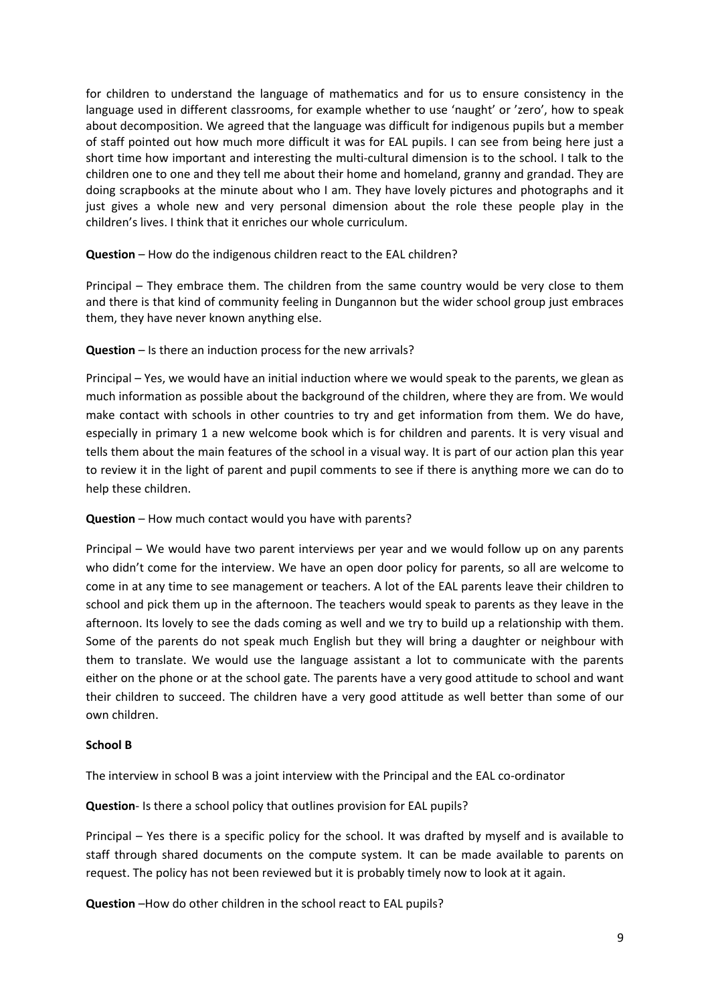for children to understand the language of mathematics and for us to ensure consistency in the language used in different classrooms, for example whether to use 'naught' or 'zero', how to speak about decomposition. We agreed that the language was difficult for indigenous pupils but a member of staff pointed out how much more difficult it was for EAL pupils. I can see from being here just a short time how important and interesting the multi-cultural dimension is to the school. I talk to the children one to one and they tell me about their home and homeland, granny and grandad. They are doing scrapbooks at the minute about who I am. They have lovely pictures and photographs and it just gives a whole new and very personal dimension about the role these people play in the children's lives. I think that it enriches our whole curriculum.

**Question** – How do the indigenous children react to the EAL children?

Principal – They embrace them. The children from the same country would be very close to them and there is that kind of community feeling in Dungannon but the wider school group just embraces them, they have never known anything else.

# **Question** – Is there an induction process for the new arrivals?

Principal – Yes, we would have an initial induction where we would speak to the parents, we glean as much information as possible about the background of the children, where they are from. We would make contact with schools in other countries to try and get information from them. We do have, especially in primary 1 a new welcome book which is for children and parents. It is very visual and tells them about the main features of the school in a visual way. It is part of our action plan this year to review it in the light of parent and pupil comments to see if there is anything more we can do to help these children.

### **Question** – How much contact would you have with parents?

Principal – We would have two parent interviews per year and we would follow up on any parents who didn't come for the interview. We have an open door policy for parents, so all are welcome to come in at any time to see management or teachers. A lot of the EAL parents leave their children to school and pick them up in the afternoon. The teachers would speak to parents as they leave in the afternoon. Its lovely to see the dads coming as well and we try to build up a relationship with them. Some of the parents do not speak much English but they will bring a daughter or neighbour with them to translate. We would use the language assistant a lot to communicate with the parents either on the phone or at the school gate. The parents have a very good attitude to school and want their children to succeed. The children have a very good attitude as well better than some of our own children.

### **School B**

The interview in school B was a joint interview with the Principal and the EAL co-ordinator

**Question**- Is there a school policy that outlines provision for EAL pupils?

Principal – Yes there is a specific policy for the school. It was drafted by myself and is available to staff through shared documents on the compute system. It can be made available to parents on request. The policy has not been reviewed but it is probably timely now to look at it again.

**Question** –How do other children in the school react to EAL pupils?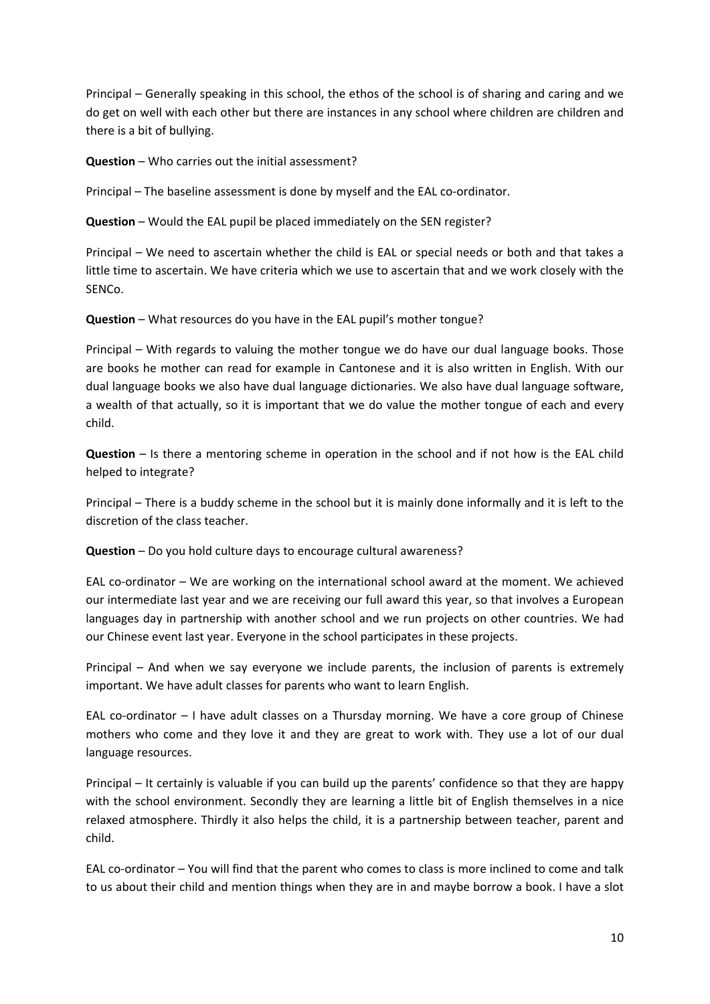Principal – Generally speaking in this school, the ethos of the school is of sharing and caring and we do get on well with each other but there are instances in any school where children are children and there is a bit of bullying.

**Question** – Who carries out the initial assessment?

Principal – The baseline assessment is done by myself and the EAL co-ordinator.

**Question** – Would the EAL pupil be placed immediately on the SEN register?

Principal – We need to ascertain whether the child is EAL or special needs or both and that takes a little time to ascertain. We have criteria which we use to ascertain that and we work closely with the SENCo.

**Question** – What resources do you have in the EAL pupil's mother tongue?

Principal – With regards to valuing the mother tongue we do have our dual language books. Those are books he mother can read for example in Cantonese and it is also written in English. With our dual language books we also have dual language dictionaries. We also have dual language software, a wealth of that actually, so it is important that we do value the mother tongue of each and every child.

**Question** – Is there a mentoring scheme in operation in the school and if not how is the EAL child helped to integrate?

Principal – There is a buddy scheme in the school but it is mainly done informally and it is left to the discretion of the class teacher.

**Question** – Do you hold culture days to encourage cultural awareness?

EAL co-ordinator – We are working on the international school award at the moment. We achieved our intermediate last year and we are receiving our full award this year, so that involves a European languages day in partnership with another school and we run projects on other countries. We had our Chinese event last year. Everyone in the school participates in these projects.

Principal – And when we say everyone we include parents, the inclusion of parents is extremely important. We have adult classes for parents who want to learn English.

EAL co-ordinator – I have adult classes on a Thursday morning. We have a core group of Chinese mothers who come and they love it and they are great to work with. They use a lot of our dual language resources.

Principal – It certainly is valuable if you can build up the parents' confidence so that they are happy with the school environment. Secondly they are learning a little bit of English themselves in a nice relaxed atmosphere. Thirdly it also helps the child, it is a partnership between teacher, parent and child.

EAL co-ordinator – You will find that the parent who comes to class is more inclined to come and talk to us about their child and mention things when they are in and maybe borrow a book. I have a slot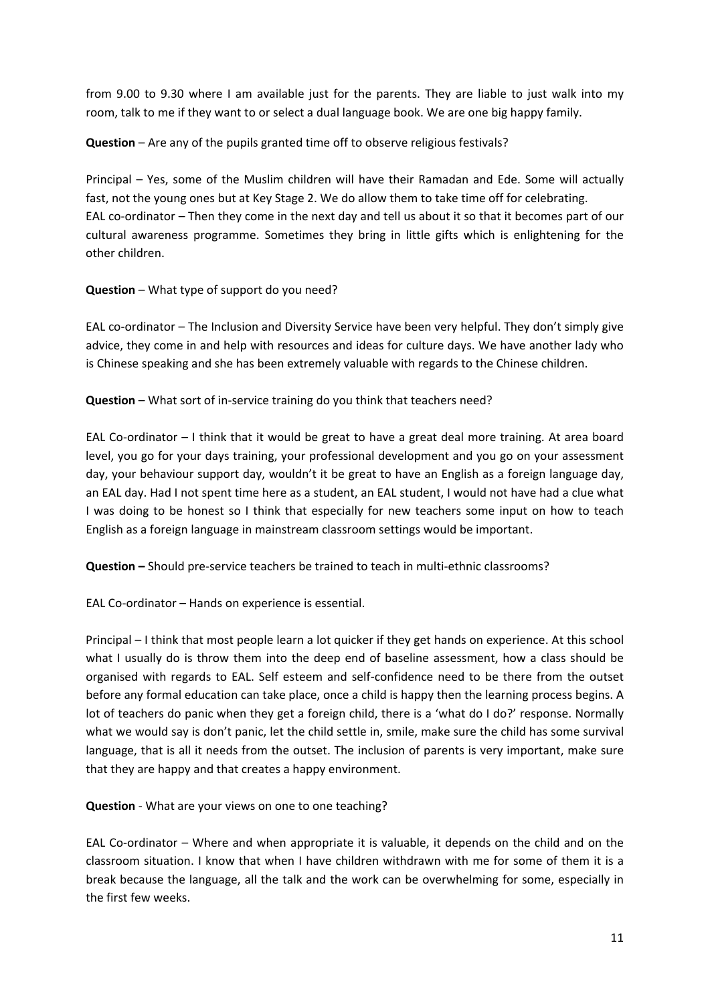from 9.00 to 9.30 where I am available just for the parents. They are liable to just walk into my room, talk to me if they want to or select a dual language book. We are one big happy family.

**Question** – Are any of the pupils granted time off to observe religious festivals?

Principal – Yes, some of the Muslim children will have their Ramadan and Ede. Some will actually fast, not the young ones but at Key Stage 2. We do allow them to take time off for celebrating. EAL co-ordinator – Then they come in the next day and tell us about it so that it becomes part of our cultural awareness programme. Sometimes they bring in little gifts which is enlightening for the other children.

### **Question** – What type of support do you need?

EAL co-ordinator – The Inclusion and Diversity Service have been very helpful. They don't simply give advice, they come in and help with resources and ideas for culture days. We have another lady who is Chinese speaking and she has been extremely valuable with regards to the Chinese children.

**Question** – What sort of in‐service training do you think that teachers need?

EAL Co-ordinator  $-1$  think that it would be great to have a great deal more training. At area board level, you go for your days training, your professional development and you go on your assessment day, your behaviour support day, wouldn't it be great to have an English as a foreign language day, an EAL day. Had I not spent time here as a student, an EAL student, I would not have had a clue what I was doing to be honest so I think that especially for new teachers some input on how to teach English as a foreign language in mainstream classroom settings would be important.

**Question** – Should pre-service teachers be trained to teach in multi-ethnic classrooms?

EAL Co-ordinator – Hands on experience is essential.

Principal – I think that most people learn a lot quicker if they get hands on experience. At this school what I usually do is throw them into the deep end of baseline assessment, how a class should be organised with regards to EAL. Self esteem and self‐confidence need to be there from the outset before any formal education can take place, once a child is happy then the learning process begins. A lot of teachers do panic when they get a foreign child, there is a 'what do I do?' response. Normally what we would say is don't panic, let the child settle in, smile, make sure the child has some survival language, that is all it needs from the outset. The inclusion of parents is very important, make sure that they are happy and that creates a happy environment.

**Question** ‐ What are your views on one to one teaching?

EAL Co-ordinator – Where and when appropriate it is valuable, it depends on the child and on the classroom situation. I know that when I have children withdrawn with me for some of them it is a break because the language, all the talk and the work can be overwhelming for some, especially in the first few weeks.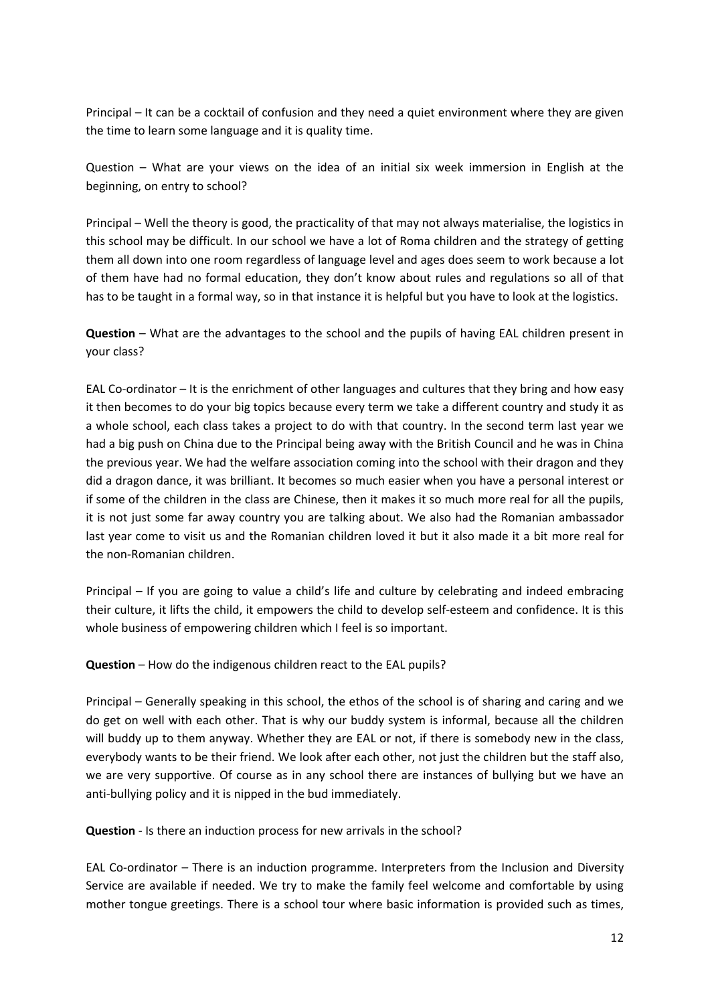Principal – It can be a cocktail of confusion and they need a quiet environment where they are given the time to learn some language and it is quality time.

Question – What are your views on the idea of an initial six week immersion in English at the beginning, on entry to school?

Principal – Well the theory is good, the practicality of that may not always materialise, the logistics in this school may be difficult. In our school we have a lot of Roma children and the strategy of getting them all down into one room regardless of language level and ages does seem to work because a lot of them have had no formal education, they don't know about rules and regulations so all of that has to be taught in a formal way, so in that instance it is helpful but you have to look at the logistics.

**Question** – What are the advantages to the school and the pupils of having EAL children present in your class?

EAL Co-ordinator – It is the enrichment of other languages and cultures that they bring and how easy it then becomes to do your big topics because every term we take a different country and study it as a whole school, each class takes a project to do with that country. In the second term last year we had a big push on China due to the Principal being away with the British Council and he was in China the previous year. We had the welfare association coming into the school with their dragon and they did a dragon dance, it was brilliant. It becomes so much easier when you have a personal interest or if some of the children in the class are Chinese, then it makes it so much more real for all the pupils, it is not just some far away country you are talking about. We also had the Romanian ambassador last year come to visit us and the Romanian children loved it but it also made it a bit more real for the non‐Romanian children.

Principal – If you are going to value a child's life and culture by celebrating and indeed embracing their culture, it lifts the child, it empowers the child to develop self‐esteem and confidence. It is this whole business of empowering children which I feel is so important.

**Question** – How do the indigenous children react to the EAL pupils?

Principal – Generally speaking in this school, the ethos of the school is of sharing and caring and we do get on well with each other. That is why our buddy system is informal, because all the children will buddy up to them anyway. Whether they are EAL or not, if there is somebody new in the class, everybody wants to be their friend. We look after each other, not just the children but the staff also, we are very supportive. Of course as in any school there are instances of bullying but we have an anti-bullying policy and it is nipped in the bud immediately.

**Question** ‐ Is there an induction process for new arrivals in the school?

EAL Co-ordinator – There is an induction programme. Interpreters from the Inclusion and Diversity Service are available if needed. We try to make the family feel welcome and comfortable by using mother tongue greetings. There is a school tour where basic information is provided such as times,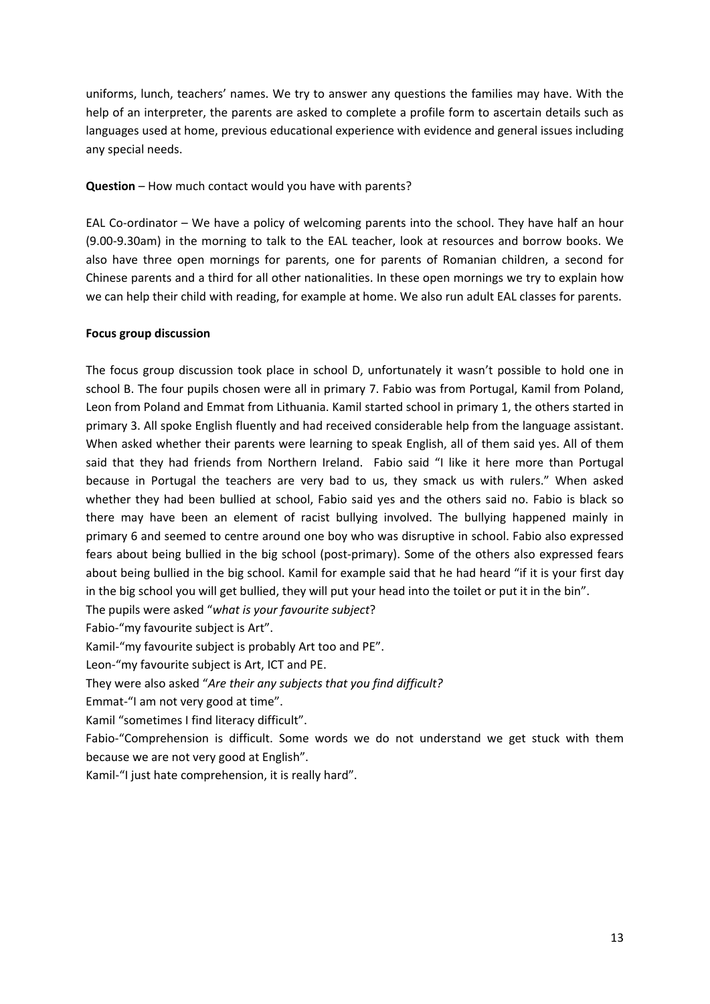uniforms, lunch, teachers' names. We try to answer any questions the families may have. With the help of an interpreter, the parents are asked to complete a profile form to ascertain details such as languages used at home, previous educational experience with evidence and general issues including any special needs.

### **Question** – How much contact would you have with parents?

EAL Co-ordinator – We have a policy of welcoming parents into the school. They have half an hour (9.00‐9.30am) in the morning to talk to the EAL teacher, look at resources and borrow books. We also have three open mornings for parents, one for parents of Romanian children, a second for Chinese parents and a third for all other nationalities. In these open mornings we try to explain how we can help their child with reading, for example at home. We also run adult EAL classes for parents.

### **Focus group discussion**

The focus group discussion took place in school D, unfortunately it wasn't possible to hold one in school B. The four pupils chosen were all in primary 7. Fabio was from Portugal, Kamil from Poland, Leon from Poland and Emmat from Lithuania. Kamil started school in primary 1, the others started in primary 3. All spoke English fluently and had received considerable help from the language assistant. When asked whether their parents were learning to speak English, all of them said yes. All of them said that they had friends from Northern Ireland. Fabio said "I like it here more than Portugal because in Portugal the teachers are very bad to us, they smack us with rulers." When asked whether they had been bullied at school, Fabio said yes and the others said no. Fabio is black so there may have been an element of racist bullying involved. The bullying happened mainly in primary 6 and seemed to centre around one boy who was disruptive in school. Fabio also expressed fears about being bullied in the big school (post-primary). Some of the others also expressed fears about being bullied in the big school. Kamil for example said that he had heard "if it is your first day in the big school you will get bullied, they will put your head into the toilet or put it in the bin".

The pupils were asked "*what is your favourite subject*?

Fabio‐"my favourite subject is Art".

Kamil‐"my favourite subject is probably Art too and PE".

Leon‐"my favourite subject is Art, ICT and PE.

They were also asked "*Are their any subjects that you find difficult?*

Emmat‐"I am not very good at time".

Kamil "sometimes I find literacy difficult".

Fabio‐"Comprehension is difficult. Some words we do not understand we get stuck with them because we are not very good at English".

Kamil‐"I just hate comprehension, it is really hard".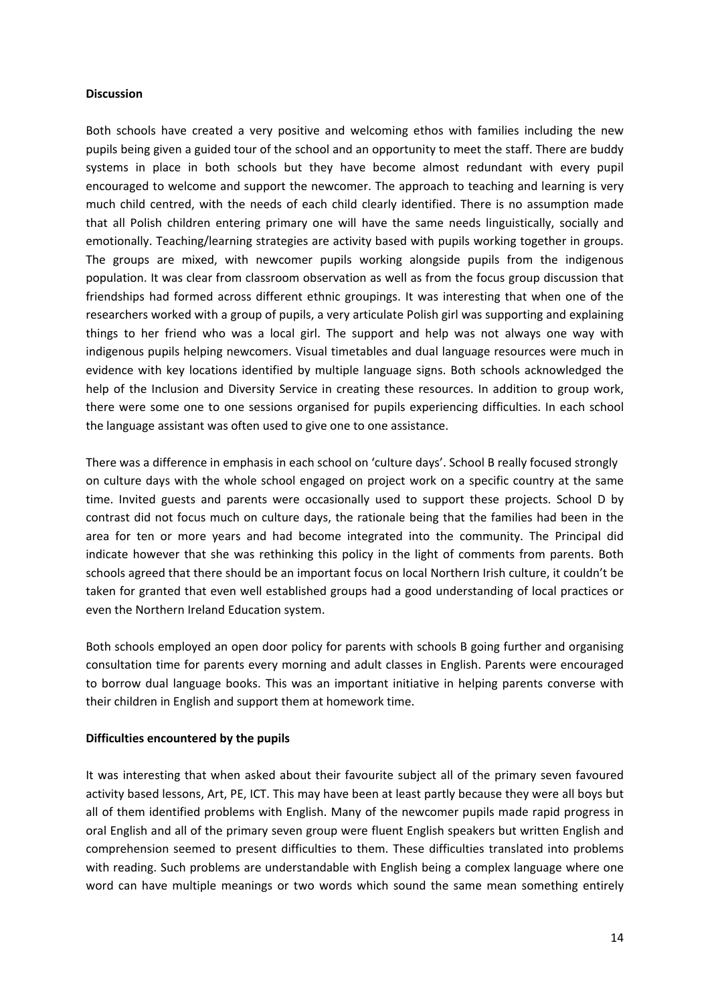#### **Discussion**

Both schools have created a very positive and welcoming ethos with families including the new pupils being given a guided tour of the school and an opportunity to meet the staff. There are buddy systems in place in both schools but they have become almost redundant with every pupil encouraged to welcome and support the newcomer. The approach to teaching and learning is very much child centred, with the needs of each child clearly identified. There is no assumption made that all Polish children entering primary one will have the same needs linguistically, socially and emotionally. Teaching/learning strategies are activity based with pupils working together in groups. The groups are mixed, with newcomer pupils working alongside pupils from the indigenous population. It was clear from classroom observation as well as from the focus group discussion that friendships had formed across different ethnic groupings. It was interesting that when one of the researchers worked with a group of pupils, a very articulate Polish girl was supporting and explaining things to her friend who was a local girl. The support and help was not always one way with indigenous pupils helping newcomers. Visual timetables and dual language resources were much in evidence with key locations identified by multiple language signs. Both schools acknowledged the help of the Inclusion and Diversity Service in creating these resources. In addition to group work, there were some one to one sessions organised for pupils experiencing difficulties. In each school the language assistant was often used to give one to one assistance.

There was a difference in emphasis in each school on 'culture days'. School B really focused strongly on culture days with the whole school engaged on project work on a specific country at the same time. Invited guests and parents were occasionally used to support these projects. School D by contrast did not focus much on culture days, the rationale being that the families had been in the area for ten or more years and had become integrated into the community. The Principal did indicate however that she was rethinking this policy in the light of comments from parents. Both schools agreed that there should be an important focus on local Northern Irish culture, it couldn't be taken for granted that even well established groups had a good understanding of local practices or even the Northern Ireland Education system.

Both schools employed an open door policy for parents with schools B going further and organising consultation time for parents every morning and adult classes in English. Parents were encouraged to borrow dual language books. This was an important initiative in helping parents converse with their children in English and support them at homework time.

### **Difficulties encountered by the pupils**

It was interesting that when asked about their favourite subject all of the primary seven favoured activity based lessons, Art, PE, ICT. This may have been at least partly because they were all boys but all of them identified problems with English. Many of the newcomer pupils made rapid progress in oral English and all of the primary seven group were fluent English speakers but written English and comprehension seemed to present difficulties to them. These difficulties translated into problems with reading. Such problems are understandable with English being a complex language where one word can have multiple meanings or two words which sound the same mean something entirely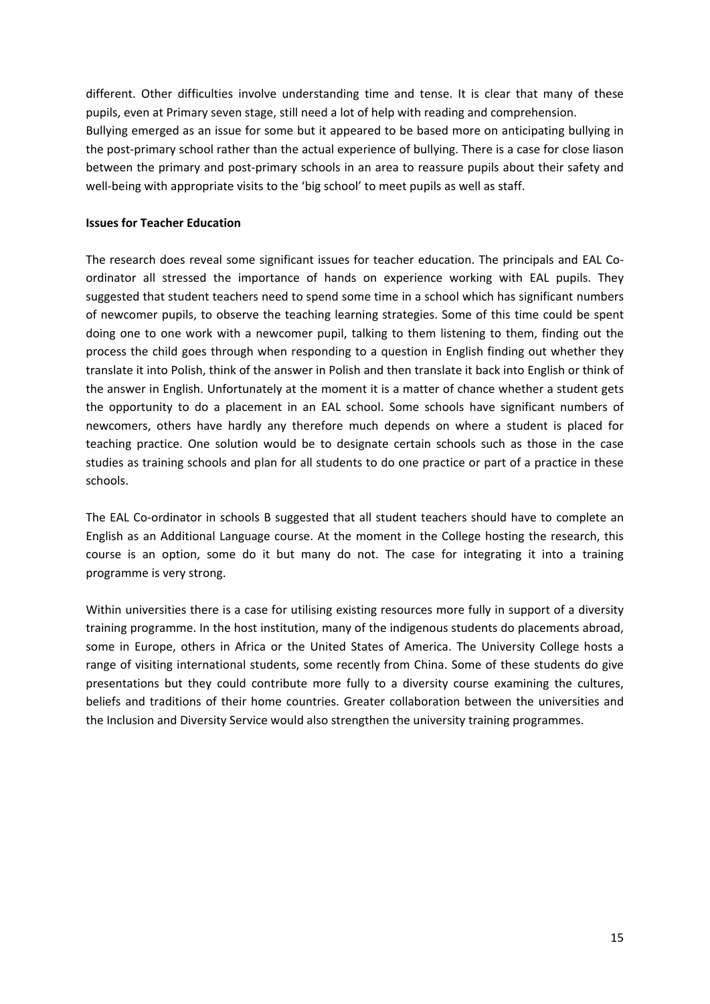different. Other difficulties involve understanding time and tense. It is clear that many of these pupils, even at Primary seven stage, still need a lot of help with reading and comprehension. Bullying emerged as an issue for some but it appeared to be based more on anticipating bullying in the post-primary school rather than the actual experience of bullying. There is a case for close liason between the primary and post-primary schools in an area to reassure pupils about their safety and well-being with appropriate visits to the 'big school' to meet pupils as well as staff.

### **Issues for Teacher Education**

The research does reveal some significant issues for teacher education. The principals and EAL Co‐ ordinator all stressed the importance of hands on experience working with EAL pupils. They suggested that student teachers need to spend some time in a school which has significant numbers of newcomer pupils, to observe the teaching learning strategies. Some of this time could be spent doing one to one work with a newcomer pupil, talking to them listening to them, finding out the process the child goes through when responding to a question in English finding out whether they translate it into Polish, think of the answer in Polish and then translate it back into English or think of the answer in English. Unfortunately at the moment it is a matter of chance whether a student gets the opportunity to do a placement in an EAL school. Some schools have significant numbers of newcomers, others have hardly any therefore much depends on where a student is placed for teaching practice. One solution would be to designate certain schools such as those in the case studies as training schools and plan for all students to do one practice or part of a practice in these schools.

The EAL Co-ordinator in schools B suggested that all student teachers should have to complete an English as an Additional Language course. At the moment in the College hosting the research, this course is an option, some do it but many do not. The case for integrating it into a training programme is very strong.

Within universities there is a case for utilising existing resources more fully in support of a diversity training programme. In the host institution, many of the indigenous students do placements abroad, some in Europe, others in Africa or the United States of America. The University College hosts a range of visiting international students, some recently from China. Some of these students do give presentations but they could contribute more fully to a diversity course examining the cultures, beliefs and traditions of their home countries. Greater collaboration between the universities and the Inclusion and Diversity Service would also strengthen the university training programmes.